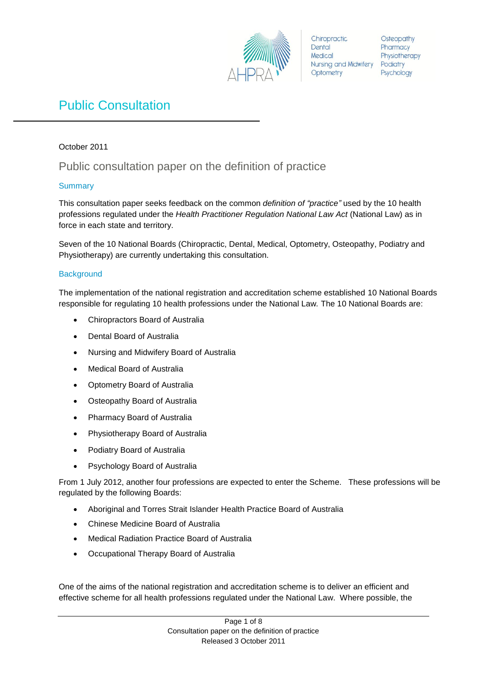

Chiropractic Dental Medical Nursing and Midwifery Podiatry Optometry

Osteopathy Pharmacy Physiotherapy Psychology

# Public Consultation

## October 2011

## Public consultation paper on the definition of practice

## **Summary**

This consultation paper seeks feedback on the common *definition of "practice"* used by the 10 health professions regulated under the *Health Practitioner Regulation National Law Act* (National Law) as in force in each state and territory.

Seven of the 10 National Boards (Chiropractic, Dental, Medical, Optometry, Osteopathy, Podiatry and Physiotherapy) are currently undertaking this consultation.

## **Background**

The implementation of the national registration and accreditation scheme established 10 National Boards responsible for regulating 10 health professions under the National Law*.* The 10 National Boards are:

- Chiropractors Board of Australia
- Dental Board of Australia
- Nursing and Midwifery Board of Australia
- Medical Board of Australia
- Optometry Board of Australia
- Osteopathy Board of Australia
- Pharmacy Board of Australia
- Physiotherapy Board of Australia
- Podiatry Board of Australia
- Psychology Board of Australia

From 1 July 2012, another four professions are expected to enter the Scheme. These professions will be regulated by the following Boards:

- Aboriginal and Torres Strait Islander Health Practice Board of Australia
- Chinese Medicine Board of Australia
- Medical Radiation Practice Board of Australia
- Occupational Therapy Board of Australia

One of the aims of the national registration and accreditation scheme is to deliver an efficient and effective scheme for all health professions regulated under the National Law. Where possible, the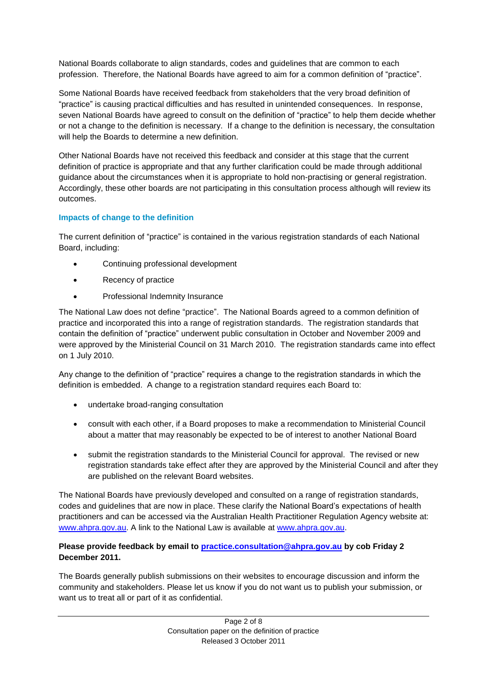National Boards collaborate to align standards, codes and guidelines that are common to each profession. Therefore, the National Boards have agreed to aim for a common definition of "practice".

Some National Boards have received feedback from stakeholders that the very broad definition of "practice" is causing practical difficulties and has resulted in unintended consequences. In response, seven National Boards have agreed to consult on the definition of "practice" to help them decide whether or not a change to the definition is necessary. If a change to the definition is necessary, the consultation will help the Boards to determine a new definition.

Other National Boards have not received this feedback and consider at this stage that the current definition of practice is appropriate and that any further clarification could be made through additional guidance about the circumstances when it is appropriate to hold non-practising or general registration. Accordingly, these other boards are not participating in this consultation process although will review its outcomes.

## **Impacts of change to the definition**

The current definition of "practice" is contained in the various registration standards of each National Board, including:

- Continuing professional development
- Recency of practice
- Professional Indemnity Insurance

The National Law does not define "practice". The National Boards agreed to a common definition of practice and incorporated this into a range of registration standards. The registration standards that contain the definition of "practice" underwent public consultation in October and November 2009 and were approved by the Ministerial Council on 31 March 2010. The registration standards came into effect on 1 July 2010.

Any change to the definition of "practice" requires a change to the registration standards in which the definition is embedded. A change to a registration standard requires each Board to:

- undertake broad-ranging consultation
- consult with each other, if a Board proposes to make a recommendation to Ministerial Council about a matter that may reasonably be expected to be of interest to another National Board
- submit the registration standards to the Ministerial Council for approval. The revised or new registration standards take effect after they are approved by the Ministerial Council and after they are published on the relevant Board websites.

The National Boards have previously developed and consulted on a range of registration standards, codes and guidelines that are now in place. These clarify the National Board's expectations of health practitioners and can be accessed via the Australian Health Practitioner Regulation Agency website at: [www.ahpra.gov.au.](http://www.ahpra.gov.au/) A link to the National Law is available at [www.ahpra.gov.au.](http://www.ahpra.gov.au/)

#### **Please provide feedback by email to [practice.consultation@ahpra.gov.au](mailto:practice.consultation@ahpra.gov.au) by cob Friday 2 December 2011.**

The Boards generally publish submissions on their websites to encourage discussion and inform the community and stakeholders. Please let us know if you do not want us to publish your submission, or want us to treat all or part of it as confidential.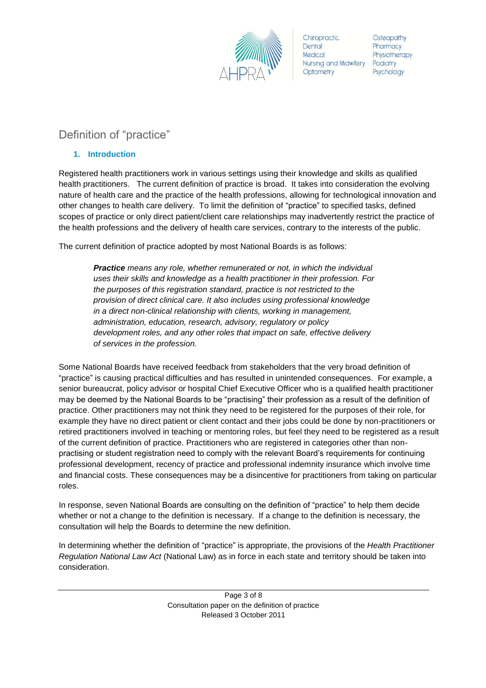

Chiropractic Dental Medical Nursing and Midwifery Podiatry Optometry

Osteopathy Pharmacy Physiotherapy Psychology

## Definition of "practice"

## **1. Introduction**

Registered health practitioners work in various settings using their knowledge and skills as qualified health practitioners. The current definition of practice is broad. It takes into consideration the evolving nature of health care and the practice of the health professions, allowing for technological innovation and other changes to health care delivery. To limit the definition of "practice" to specified tasks, defined scopes of practice or only direct patient/client care relationships may inadvertently restrict the practice of the health professions and the delivery of health care services, contrary to the interests of the public.

The current definition of practice adopted by most National Boards is as follows:

*Practice means any role, whether remunerated or not, in which the individual uses their skills and knowledge as a health practitioner in their profession. For the purposes of this registration standard, practice is not restricted to the provision of direct clinical care. It also includes using professional knowledge in a direct non-clinical relationship with clients, working in management, administration, education, research, advisory, regulatory or policy development roles, and any other roles that impact on safe, effective delivery of services in the profession.*

Some National Boards have received feedback from stakeholders that the very broad definition of "practice" is causing practical difficulties and has resulted in unintended consequences. For example, a senior bureaucrat, policy advisor or hospital Chief Executive Officer who is a qualified health practitioner may be deemed by the National Boards to be "practising" their profession as a result of the definition of practice. Other practitioners may not think they need to be registered for the purposes of their role, for example they have no direct patient or client contact and their jobs could be done by non-practitioners or retired practitioners involved in teaching or mentoring roles, but feel they need to be registered as a result of the current definition of practice. Practitioners who are registered in categories other than nonpractising or student registration need to comply with the relevant Board's requirements for continuing professional development, recency of practice and professional indemnity insurance which involve time and financial costs. These consequences may be a disincentive for practitioners from taking on particular roles.

In response, seven National Boards are consulting on the definition of "practice" to help them decide whether or not a change to the definition is necessary. If a change to the definition is necessary, the consultation will help the Boards to determine the new definition.

In determining whether the definition of "practice" is appropriate, the provisions of the *Health Practitioner Regulation National Law Act* (National Law) as in force in each state and territory should be taken into consideration.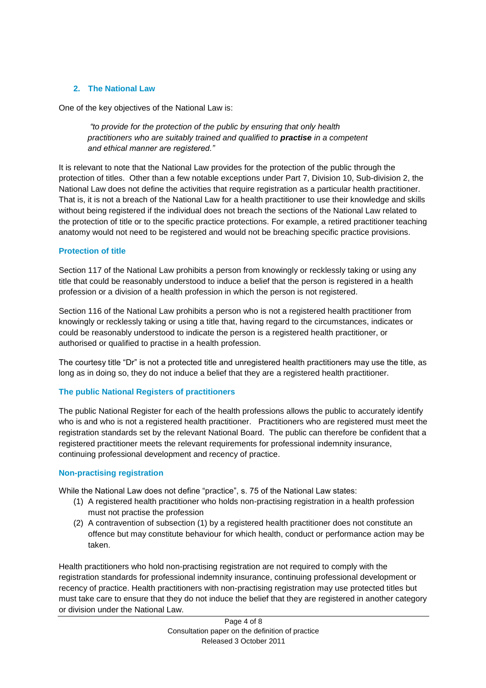#### **2. The National Law**

One of the key objectives of the National Law is:

*"to provide for the protection of the public by ensuring that only health practitioners who are suitably trained and qualified to practise in a competent and ethical manner are registered."*

It is relevant to note that the National Law provides for the protection of the public through the protection of titles. Other than a few notable exceptions under Part 7, Division 10, Sub-division 2, the National Law does not define the activities that require registration as a particular health practitioner. That is, it is not a breach of the National Law for a health practitioner to use their knowledge and skills without being registered if the individual does not breach the sections of the National Law related to the protection of title or to the specific practice protections. For example, a retired practitioner teaching anatomy would not need to be registered and would not be breaching specific practice provisions.

#### **Protection of title**

Section 117 of the National Law prohibits a person from knowingly or recklessly taking or using any title that could be reasonably understood to induce a belief that the person is registered in a health profession or a division of a health profession in which the person is not registered.

Section 116 of the National Law prohibits a person who is not a registered health practitioner from knowingly or recklessly taking or using a title that, having regard to the circumstances, indicates or could be reasonably understood to indicate the person is a registered health practitioner, or authorised or qualified to practise in a health profession.

The courtesy title "Dr" is not a protected title and unregistered health practitioners may use the title, as long as in doing so, they do not induce a belief that they are a registered health practitioner.

#### **The public National Registers of practitioners**

The public National Register for each of the health professions allows the public to accurately identify who is and who is not a registered health practitioner. Practitioners who are registered must meet the registration standards set by the relevant National Board. The public can therefore be confident that a registered practitioner meets the relevant requirements for professional indemnity insurance, continuing professional development and recency of practice.

#### **Non-practising registration**

While the National Law does not define "practice", s. 75 of the National Law states:

- (1) A registered health practitioner who holds non-practising registration in a health profession must not practise the profession
- (2) A contravention of subsection (1) by a registered health practitioner does not constitute an offence but may constitute behaviour for which health, conduct or performance action may be taken.

Health practitioners who hold non-practising registration are not required to comply with the registration standards for professional indemnity insurance, continuing professional development or recency of practice. Health practitioners with non-practising registration may use protected titles but must take care to ensure that they do not induce the belief that they are registered in another category or division under the National Law.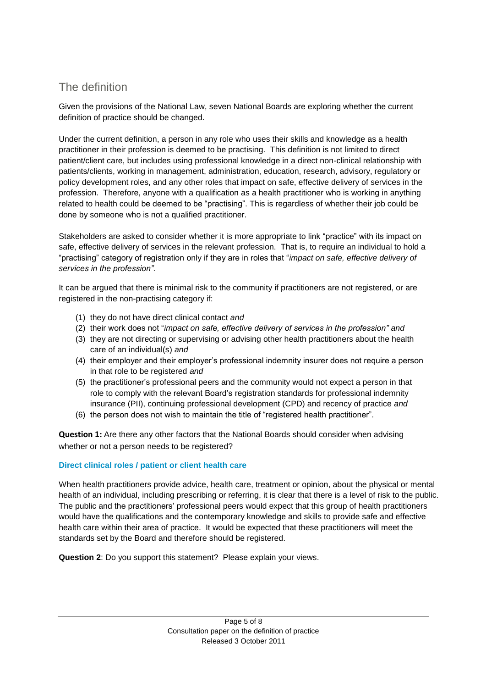## The definition

Given the provisions of the National Law, seven National Boards are exploring whether the current definition of practice should be changed.

Under the current definition, a person in any role who uses their skills and knowledge as a health practitioner in their profession is deemed to be practising. This definition is not limited to direct patient/client care, but includes using professional knowledge in a direct non-clinical relationship with patients/clients, working in management, administration, education, research, advisory, regulatory or policy development roles, and any other roles that impact on safe, effective delivery of services in the profession. Therefore, anyone with a qualification as a health practitioner who is working in anything related to health could be deemed to be "practising". This is regardless of whether their job could be done by someone who is not a qualified practitioner.

Stakeholders are asked to consider whether it is more appropriate to link "practice" with its impact on safe, effective delivery of services in the relevant profession. That is, to require an individual to hold a "practising" category of registration only if they are in roles that "*impact on safe, effective delivery of services in the profession".* 

It can be argued that there is minimal risk to the community if practitioners are not registered, or are registered in the non-practising category if:

- (1) they do not have direct clinical contact *and*
- (2) their work does not "*impact on safe, effective delivery of services in the profession" and*
- (3) they are not directing or supervising or advising other health practitioners about the health care of an individual(s) *and*
- (4) their employer and their employer's professional indemnity insurer does not require a person in that role to be registered *and*
- (5) the practitioner's professional peers and the community would not expect a person in that role to comply with the relevant Board's registration standards for professional indemnity insurance (PII), continuing professional development (CPD) and recency of practice *and*
- (6) the person does not wish to maintain the title of "registered health practitioner".

**Question 1:** Are there any other factors that the National Boards should consider when advising whether or not a person needs to be registered?

## **Direct clinical roles / patient or client health care**

When health practitioners provide advice, health care, treatment or opinion, about the physical or mental health of an individual, including prescribing or referring, it is clear that there is a level of risk to the public. The public and the practitioners' professional peers would expect that this group of health practitioners would have the qualifications and the contemporary knowledge and skills to provide safe and effective health care within their area of practice. It would be expected that these practitioners will meet the standards set by the Board and therefore should be registered.

**Question 2**: Do you support this statement? Please explain your views.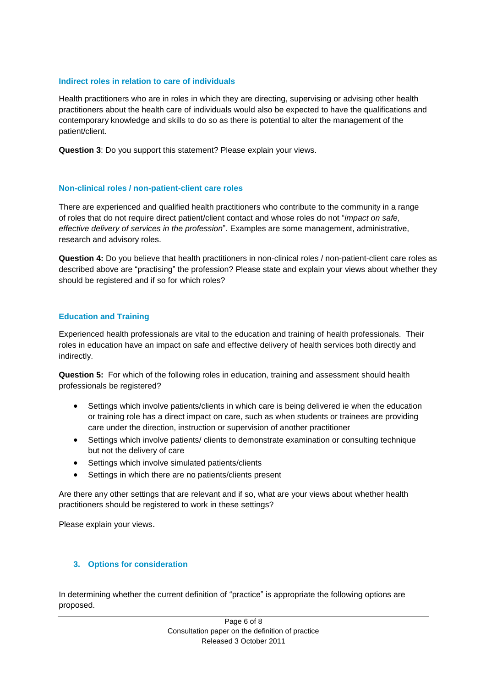#### **Indirect roles in relation to care of individuals**

Health practitioners who are in roles in which they are directing, supervising or advising other health practitioners about the health care of individuals would also be expected to have the qualifications and contemporary knowledge and skills to do so as there is potential to alter the management of the patient/client.

**Question 3**: Do you support this statement? Please explain your views.

#### **Non-clinical roles / non-patient-client care roles**

There are experienced and qualified health practitioners who contribute to the community in a range of roles that do not require direct patient/client contact and whose roles do not "*impact on safe, effective delivery of services in the profession*". Examples are some management, administrative, research and advisory roles.

**Question 4:** Do you believe that health practitioners in non-clinical roles / non-patient-client care roles as described above are "practising" the profession? Please state and explain your views about whether they should be registered and if so for which roles?

#### **Education and Training**

Experienced health professionals are vital to the education and training of health professionals. Their roles in education have an impact on safe and effective delivery of health services both directly and indirectly.

**Question 5:** For which of the following roles in education, training and assessment should health professionals be registered?

- Settings which involve patients/clients in which care is being delivered ie when the education or training role has a direct impact on care, such as when students or trainees are providing care under the direction, instruction or supervision of another practitioner
- Settings which involve patients/ clients to demonstrate examination or consulting technique but not the delivery of care
- Settings which involve simulated patients/clients
- Settings in which there are no patients/clients present

Are there any other settings that are relevant and if so, what are your views about whether health practitioners should be registered to work in these settings?

Please explain your views.

#### **3. Options for consideration**

In determining whether the current definition of "practice" is appropriate the following options are proposed.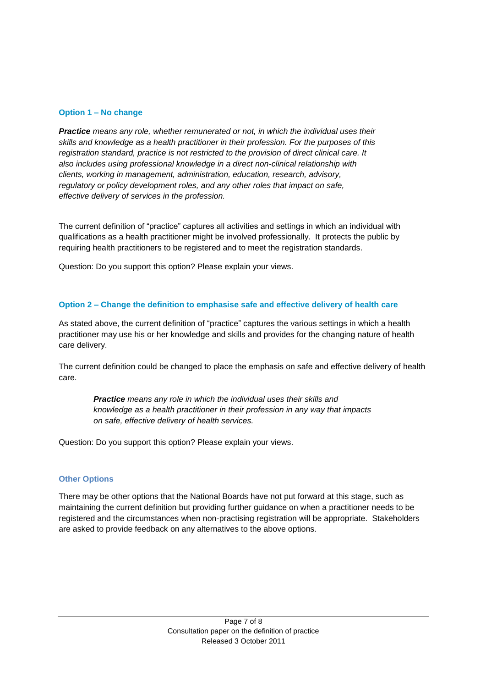#### **Option 1 – No change**

*Practice means any role, whether remunerated or not, in which the individual uses their skills and knowledge as a health practitioner in their profession. For the purposes of this registration standard, practice is not restricted to the provision of direct clinical care. It also includes using professional knowledge in a direct non-clinical relationship with clients, working in management, administration, education, research, advisory, regulatory or policy development roles, and any other roles that impact on safe, effective delivery of services in the profession.*

The current definition of "practice" captures all activities and settings in which an individual with qualifications as a health practitioner might be involved professionally. It protects the public by requiring health practitioners to be registered and to meet the registration standards.

Question: Do you support this option? Please explain your views.

#### **Option 2 – Change the definition to emphasise safe and effective delivery of health care**

As stated above, the current definition of "practice" captures the various settings in which a health practitioner may use his or her knowledge and skills and provides for the changing nature of health care delivery.

The current definition could be changed to place the emphasis on safe and effective delivery of health care.

*Practice means any role in which the individual uses their skills and knowledge as a health practitioner in their profession in any way that impacts on safe, effective delivery of health services.*

Question: Do you support this option? Please explain your views.

#### **Other Options**

There may be other options that the National Boards have not put forward at this stage, such as maintaining the current definition but providing further guidance on when a practitioner needs to be registered and the circumstances when non-practising registration will be appropriate. Stakeholders are asked to provide feedback on any alternatives to the above options.